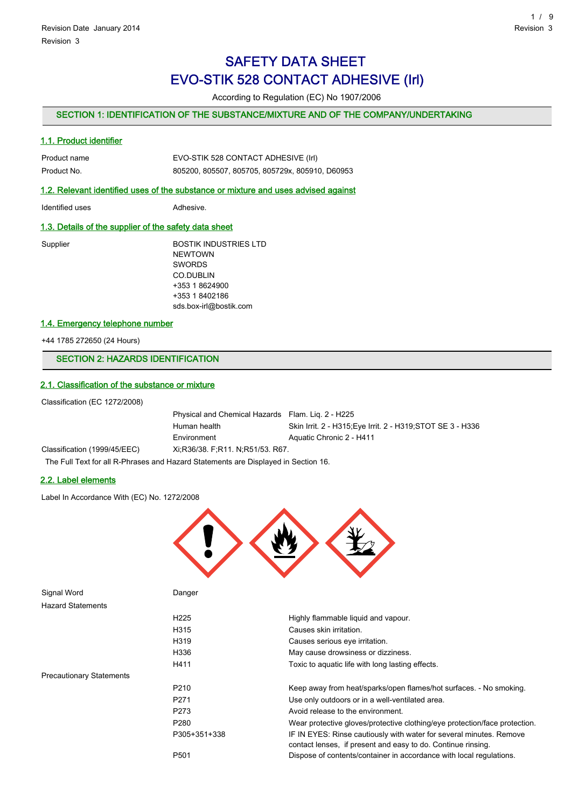## SAFETY DATA SHEET EVO-STIK 528 CONTACT ADHESIVE (Irl)

According to Regulation (EC) No 1907/2006

## SECTION 1: IDENTIFICATION OF THE SUBSTANCE/MIXTURE AND OF THE COMPANY/UNDERTAKING

## 1.1. Product identifier

| Product name | EVO-STIK 528 CONTACT ADHESIVE (Irl)             |
|--------------|-------------------------------------------------|
| Product No.  | 805200, 805507, 805705, 805729x, 805910, D60953 |

#### 1.2. Relevant identified uses of the substance or mixture and uses advised against

Identified uses **Adhesive.** 

## 1.3. Details of the supplier of the safety data sheet

Supplier BOSTIK INDUSTRIES LTD NEWTOWN SWORDS CO.DUBLIN +353 1 8624900 +353 1 8402186 sds.box-irl@bostik.com

### 1.4. Emergency telephone number

+44 1785 272650 (24 Hours)

## SECTION 2: HAZARDS IDENTIFICATION

#### 2.1. Classification of the substance or mixture

Classification (EC 1272/2008)

Physical and Chemical Hazards Flam. Liq. 2 - H225 Human health Skin Irrit. 2 - H315;Eye Irrit. 2 - H319;STOT SE 3 - H336 Environment Aquatic Chronic 2 - H411 Classification (1999/45/EEC) Xi;R36/38. F;R11. N;R51/53. R67.

The Full Text for all R-Phrases and Hazard Statements are Displayed in Section 16.

### 2.2. Label elements

Label In Accordance With (EC) No. 1272/2008



| Signal Word                     | Danger           |                                                                                                                                     |
|---------------------------------|------------------|-------------------------------------------------------------------------------------------------------------------------------------|
| <b>Hazard Statements</b>        |                  |                                                                                                                                     |
|                                 | H <sub>225</sub> | Highly flammable liquid and vapour.                                                                                                 |
|                                 | H315             | Causes skin irritation.                                                                                                             |
|                                 | H319             | Causes serious eye irritation.                                                                                                      |
|                                 | H336             | May cause drowsiness or dizziness.                                                                                                  |
|                                 | H411             | Toxic to aquatic life with long lasting effects.                                                                                    |
| <b>Precautionary Statements</b> |                  |                                                                                                                                     |
|                                 | P <sub>210</sub> | Keep away from heat/sparks/open flames/hot surfaces. - No smoking.                                                                  |
|                                 | P <sub>271</sub> | Use only outdoors or in a well-ventilated area.                                                                                     |
|                                 | P <sub>273</sub> | Avoid release to the environment.                                                                                                   |
|                                 | P <sub>280</sub> | Wear protective gloves/protective clothing/eye protection/face protection.                                                          |
|                                 | P305+351+338     | IF IN EYES: Rinse cautiously with water for several minutes. Remove<br>contact lenses, if present and easy to do. Continue rinsing. |
|                                 | P <sub>501</sub> | Dispose of contents/container in accordance with local regulations.                                                                 |
|                                 |                  |                                                                                                                                     |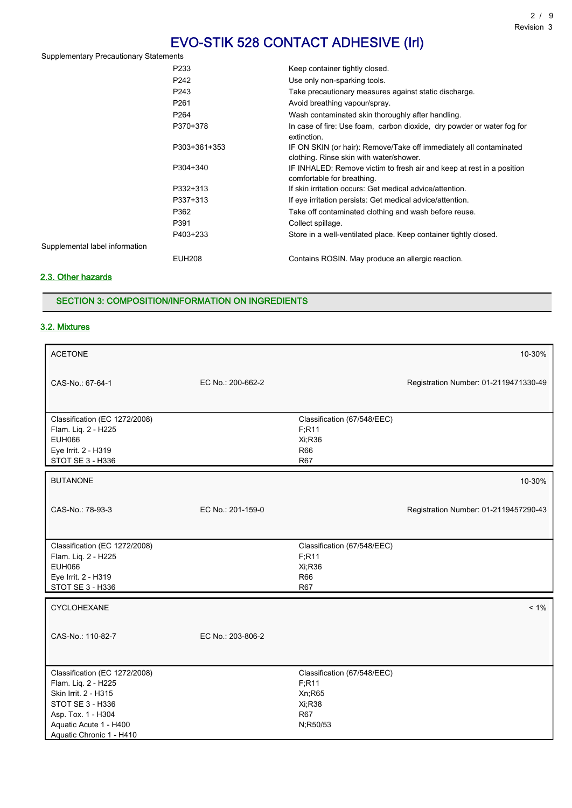| <b>Supplementary Precautionary Statements</b> |                  |                                                                                                               |
|-----------------------------------------------|------------------|---------------------------------------------------------------------------------------------------------------|
|                                               | P233             | Keep container tightly closed.                                                                                |
|                                               | P242             | Use only non-sparking tools.                                                                                  |
|                                               | P243             | Take precautionary measures against static discharge.                                                         |
|                                               | P <sub>261</sub> | Avoid breathing vapour/spray.                                                                                 |
|                                               | P <sub>264</sub> | Wash contaminated skin thoroughly after handling.                                                             |
|                                               | P370+378         | In case of fire: Use foam, carbon dioxide, dry powder or water fog for<br>extinction.                         |
|                                               | P303+361+353     | IF ON SKIN (or hair): Remove/Take off immediately all contaminated<br>clothing. Rinse skin with water/shower. |
|                                               | P304+340         | IF INHALED: Remove victim to fresh air and keep at rest in a position<br>comfortable for breathing.           |
|                                               | P332+313         | If skin irritation occurs: Get medical advice/attention.                                                      |
|                                               | P337+313         | If eye irritation persists: Get medical advice/attention.                                                     |
|                                               | P362             | Take off contaminated clothing and wash before reuse.                                                         |
|                                               | P391             | Collect spillage.                                                                                             |
|                                               | P403+233         | Store in a well-ventilated place. Keep container tightly closed.                                              |
| Supplemental label information                |                  |                                                                                                               |
|                                               | <b>EUH208</b>    | Contains ROSIN. May produce an allergic reaction.                                                             |

## 2.3. Other hazards

## SECTION 3: COMPOSITION/INFORMATION ON INGREDIENTS

## 3.2. Mixtures

| <b>ACETONE</b>                                                                                                                                                               |                   |                                                                                     | 10-30%                                |
|------------------------------------------------------------------------------------------------------------------------------------------------------------------------------|-------------------|-------------------------------------------------------------------------------------|---------------------------------------|
| CAS-No.: 67-64-1                                                                                                                                                             | EC No.: 200-662-2 |                                                                                     | Registration Number: 01-2119471330-49 |
| Classification (EC 1272/2008)<br>Flam. Liq. 2 - H225<br><b>EUH066</b><br>Eye Irrit. 2 - H319<br>STOT SE 3 - H336                                                             |                   | Classification (67/548/EEC)<br>F; R11<br>Xi;R36<br><b>R66</b><br><b>R67</b>         |                                       |
| <b>BUTANONE</b>                                                                                                                                                              |                   |                                                                                     | 10-30%                                |
| CAS-No.: 78-93-3                                                                                                                                                             | EC No.: 201-159-0 |                                                                                     | Registration Number: 01-2119457290-43 |
| Classification (EC 1272/2008)<br>Flam. Liq. 2 - H225<br><b>EUH066</b><br>Eye Irrit. 2 - H319<br>STOT SE 3 - H336                                                             |                   | Classification (67/548/EEC)<br>F; R11<br>Xi:R36<br><b>R66</b><br><b>R67</b>         |                                       |
| CYCLOHEXANE                                                                                                                                                                  |                   |                                                                                     | $< 1\%$                               |
| CAS-No.: 110-82-7                                                                                                                                                            | EC No.: 203-806-2 |                                                                                     |                                       |
| Classification (EC 1272/2008)<br>Flam. Liq. 2 - H225<br>Skin Irrit. 2 - H315<br>STOT SE 3 - H336<br>Asp. Tox. 1 - H304<br>Aquatic Acute 1 - H400<br>Aquatic Chronic 1 - H410 |                   | Classification (67/548/EEC)<br>F; R11<br>Xn;R65<br>Xi;R38<br><b>R67</b><br>N;R50/53 |                                       |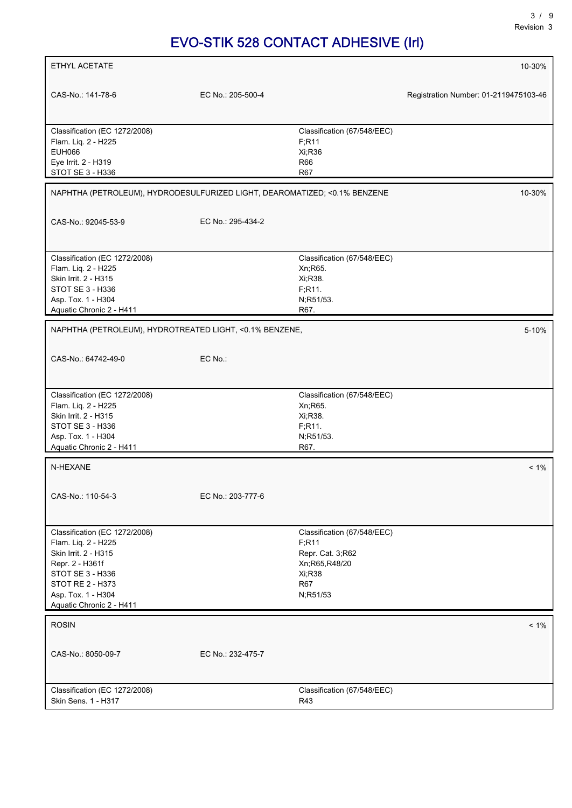| ETHYL ACETATE                                                             |                   |                                         | 10-30%                                |
|---------------------------------------------------------------------------|-------------------|-----------------------------------------|---------------------------------------|
|                                                                           |                   |                                         |                                       |
| CAS-No.: 141-78-6                                                         | EC No.: 205-500-4 |                                         | Registration Number: 01-2119475103-46 |
|                                                                           |                   |                                         |                                       |
| Classification (EC 1272/2008)                                             |                   | Classification (67/548/EEC)             |                                       |
| Flam. Liq. 2 - H225                                                       |                   | F; R11                                  |                                       |
| <b>EUH066</b>                                                             |                   | Xi:R36                                  |                                       |
| Eye Irrit. 2 - H319                                                       |                   | R66                                     |                                       |
| STOT SE 3 - H336                                                          |                   | <b>R67</b>                              |                                       |
| NAPHTHA (PETROLEUM), HYDRODESULFURIZED LIGHT, DEAROMATIZED; <0.1% BENZENE |                   |                                         | 10-30%                                |
|                                                                           |                   |                                         |                                       |
| CAS-No.: 92045-53-9                                                       | EC No.: 295-434-2 |                                         |                                       |
|                                                                           |                   |                                         |                                       |
| Classification (EC 1272/2008)<br>Flam. Liq. 2 - H225                      |                   | Classification (67/548/EEC)<br>Xn; R65. |                                       |
| Skin Irrit. 2 - H315                                                      |                   | Xi, R38.                                |                                       |
| STOT SE 3 - H336                                                          |                   | F;R11.                                  |                                       |
| Asp. Tox. 1 - H304                                                        |                   | N;R51/53.                               |                                       |
| Aquatic Chronic 2 - H411                                                  |                   | R67.                                    |                                       |
|                                                                           |                   |                                         |                                       |
| NAPHTHA (PETROLEUM), HYDROTREATED LIGHT, <0.1% BENZENE,                   |                   |                                         | 5-10%                                 |
| CAS-No.: 64742-49-0                                                       | EC No.:           |                                         |                                       |
|                                                                           |                   |                                         |                                       |
| Classification (EC 1272/2008)                                             |                   | Classification (67/548/EEC)             |                                       |
| Flam. Liq. 2 - H225                                                       |                   | Xn;R65.                                 |                                       |
| Skin Irrit. 2 - H315                                                      |                   | Xi, R38.                                |                                       |
| STOT SE 3 - H336                                                          |                   | F; R11.                                 |                                       |
| Asp. Tox. 1 - H304                                                        |                   | N;R51/53.                               |                                       |
| Aquatic Chronic 2 - H411                                                  |                   | R67.                                    |                                       |
| N-HEXANE                                                                  |                   |                                         | $< 1\%$                               |
|                                                                           |                   |                                         |                                       |
| CAS-No.: 110-54-3                                                         | EC No.: 203-777-6 |                                         |                                       |
|                                                                           |                   |                                         |                                       |
| Classification (EC 1272/2008)                                             |                   | Classification (67/548/EEC)             |                                       |
| Flam. Liq. 2 - H225                                                       |                   | F;R11                                   |                                       |
| Skin Irrit. 2 - H315                                                      |                   | Repr. Cat. 3,R62                        |                                       |
| Repr. 2 - H361f                                                           |                   | Xn;R65,R48/20                           |                                       |
| STOT SE 3 - H336<br><b>STOT RE 2 - H373</b>                               |                   | Xi;R38<br><b>R67</b>                    |                                       |
| Asp. Tox. 1 - H304                                                        |                   | N;R51/53                                |                                       |
| Aquatic Chronic 2 - H411                                                  |                   |                                         |                                       |
|                                                                           |                   |                                         |                                       |
| <b>ROSIN</b>                                                              |                   |                                         | $< 1\%$                               |
| CAS-No.: 8050-09-7                                                        | EC No.: 232-475-7 |                                         |                                       |
|                                                                           |                   |                                         |                                       |
|                                                                           |                   |                                         |                                       |
| Classification (EC 1272/2008)<br>Skin Sens. 1 - H317                      |                   | Classification (67/548/EEC)<br>R43      |                                       |
|                                                                           |                   |                                         |                                       |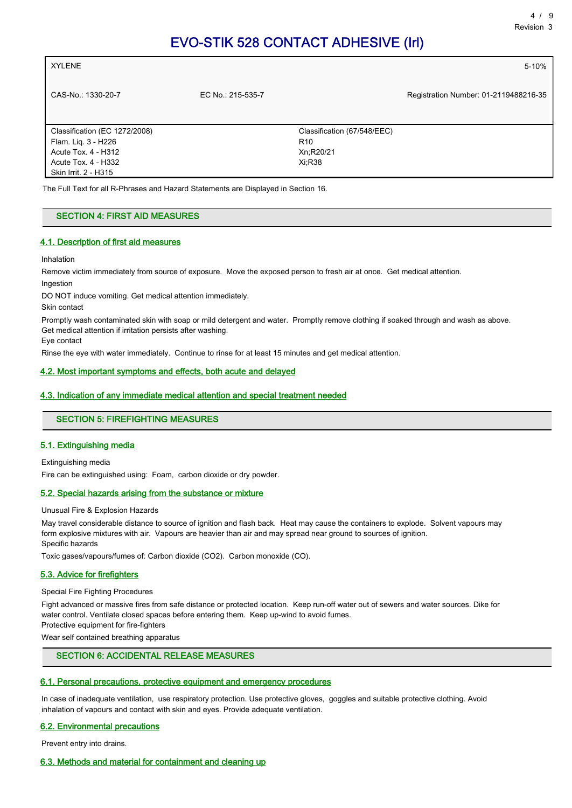| Registration Number: 01-2119488216-35                                              |
|------------------------------------------------------------------------------------|
| Classification (67/548/EEC)<br>Xn;R20/21<br>Xi:R38                                 |
| The Full Text for all R-Phrases and Hazard Statements are Displayed in Section 16. |

#### SECTION 4: FIRST AID MEASURES

#### 4.1. Description of first aid measures

Inhalation

Remove victim immediately from source of exposure. Move the exposed person to fresh air at once. Get medical attention. Ingestion

DO NOT induce vomiting. Get medical attention immediately.

Skin contact

Promptly wash contaminated skin with soap or mild detergent and water. Promptly remove clothing if soaked through and wash as above. Get medical attention if irritation persists after washing.

Eye contact

Rinse the eye with water immediately. Continue to rinse for at least 15 minutes and get medical attention.

#### 4.2. Most important symptoms and effects, both acute and delayed

#### 4.3. Indication of any immediate medical attention and special treatment needed

## SECTION 5: FIREFIGHTING MEASURES

#### 5.1. Extinguishing media

Extinguishing media

Fire can be extinguished using: Foam, carbon dioxide or dry powder.

#### 5.2. Special hazards arising from the substance or mixture

Unusual Fire & Explosion Hazards

May travel considerable distance to source of ignition and flash back. Heat may cause the containers to explode. Solvent vapours may form explosive mixtures with air. Vapours are heavier than air and may spread near ground to sources of ignition. Specific hazards

Toxic gases/vapours/fumes of: Carbon dioxide (CO2). Carbon monoxide (CO).

#### 5.3. Advice for firefighters

#### Special Fire Fighting Procedures

Fight advanced or massive fires from safe distance or protected location. Keep run-off water out of sewers and water sources. Dike for water control. Ventilate closed spaces before entering them. Keep up-wind to avoid fumes.

Protective equipment for fire-fighters

Wear self contained breathing apparatus

## SECTION 6: ACCIDENTAL RELEASE MEASURES

#### 6.1. Personal precautions, protective equipment and emergency procedures

In case of inadequate ventilation, use respiratory protection. Use protective gloves, goggles and suitable protective clothing. Avoid inhalation of vapours and contact with skin and eyes. Provide adequate ventilation.

#### 6.2. Environmental precautions

Prevent entry into drains.

## 6.3. Methods and material for containment and cleaning up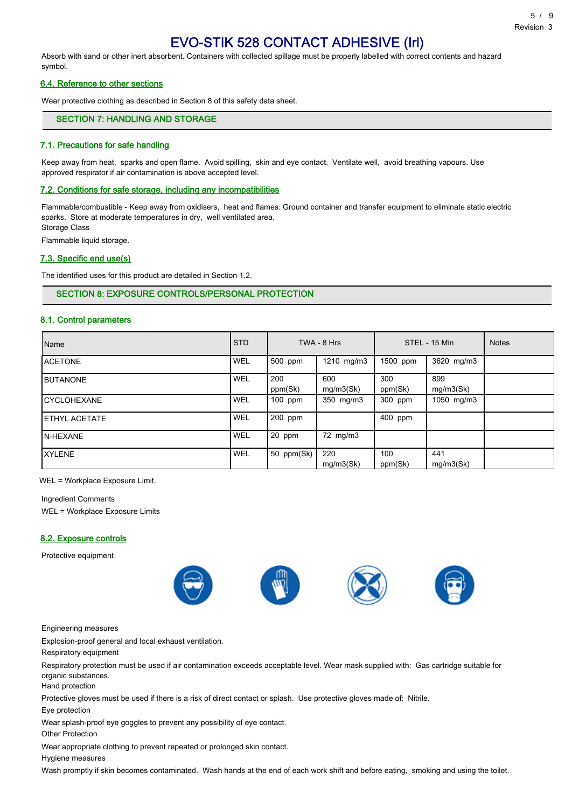Absorb with sand or other inert absorbent. Containers with collected spillage must be properly labelled with correct contents and hazard symbol.

#### 6.4. Reference to other sections

Wear protective clothing as described in Section 8 of this safety data sheet.

## SECTION 7: HANDLING AND STORAGE

#### 7.1. Precautions for safe handling

Keep away from heat, sparks and open flame. Avoid spilling, skin and eye contact. Ventilate well, avoid breathing vapours. Use approved respirator if air contamination is above accepted level.

#### 7.2. Conditions for safe storage, including any incompatibilities

Flammable/combustible - Keep away from oxidisers, heat and flames. Ground container and transfer equipment to eliminate static electric sparks. Store at moderate temperatures in dry, well ventilated area. Storage Class

Flammable liquid storage.

#### 7.3. Specific end use(s)

The identified uses for this product are detailed in Section 1.2.

## SECTION 8: EXPOSURE CONTROLS/PERSONAL PROTECTION

#### 8.1. Control parameters

| Name                  | <b>STD</b> |                | TWA - 8 Hrs      |                | STEL - 15 Min    | <b>Notes</b> |
|-----------------------|------------|----------------|------------------|----------------|------------------|--------------|
| <b>ACETONE</b>        | WEL        | 500 ppm        | 1210 mg/m3       | 1500 ppm       | 3620 mg/m3       |              |
| <b>IBUTANONE</b>      | WEL        | 200<br>ppm(Sk) | 600<br>mg/m3(Sk) | 300<br>ppm(Sk) | 899<br>mg/m3(Sk) |              |
| <b>ICYCLOHEXANE</b>   | WEL        | 100 ppm        | 350 mg/m3        | 300 ppm        | 1050 mg/m3       |              |
| <b>IETHYL ACETATE</b> | WEL        | 200 ppm        |                  | 400 ppm        |                  |              |
| <b>IN-HEXANE</b>      | WEL        | $20$ ppm       | 72 mg/m3         |                |                  |              |
| IXYLENE               | WEL        | 50 ppm(Sk)     | 220<br>mq/m3(Sk) | 100<br>ppm(Sk) | 441<br>mg/m3(Sk) |              |

WEL = Workplace Exposure Limit.

Ingredient Comments WEL = Workplace Exposure Limits

#### 8.2. Exposure controls

Protective equipment







Engineering measures

Explosion-proof general and local exhaust ventilation.

Respiratory equipment

Respiratory protection must be used if air contamination exceeds acceptable level. Wear mask supplied with: Gas cartridge suitable for organic substances.

Hand protection

Protective gloves must be used if there is a risk of direct contact or splash. Use protective gloves made of: Nitrile.

Eye protection

Wear splash-proof eye goggles to prevent any possibility of eye contact.

Other Protection

Wear appropriate clothing to prevent repeated or prolonged skin contact.

Hygiene measures

Wash promptly if skin becomes contaminated. Wash hands at the end of each work shift and before eating, smoking and using the toilet.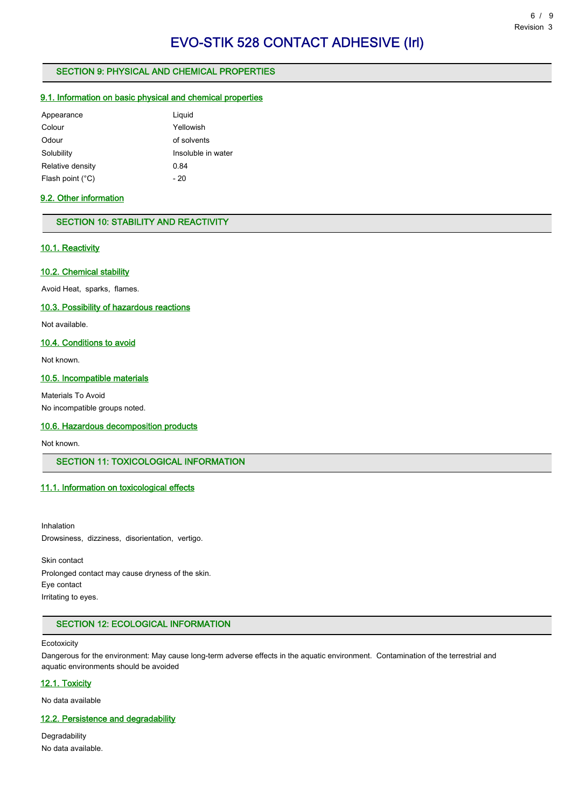## SECTION 9: PHYSICAL AND CHEMICAL PROPERTIES

## 9.1. Information on basic physical and chemical properties

| Appearance                | Liquid             |
|---------------------------|--------------------|
| Colour                    | Yellowish          |
| Odour                     | of solvents        |
| Solubility                | Insoluble in water |
| Relative density          | 0.84               |
| Flash point $(^{\circ}C)$ | - 20               |

## 9.2. Other information

## SECTION 10: STABILITY AND REACTIVITY

## 10.1. Reactivity

#### 10.2. Chemical stability

Avoid Heat, sparks, flames.

#### 10.3. Possibility of hazardous reactions

Not available.

## 10.4. Conditions to avoid

Not known.

## 10.5. Incompatible materials

Materials To Avoid No incompatible groups noted.

#### 10.6. Hazardous decomposition products

Not known.

## SECTION 11: TOXICOLOGICAL INFORMATION

## 11.1. Information on toxicological effects

Inhalation Drowsiness, dizziness, disorientation, vertigo.

Skin contact Prolonged contact may cause dryness of the skin. Eye contact Irritating to eyes.

## SECTION 12: ECOLOGICAL INFORMATION

#### **Ecotoxicity**

Dangerous for the environment: May cause long-term adverse effects in the aquatic environment. Contamination of the terrestrial and aquatic environments should be avoided

#### 12.1. Toxicity

No data available

## 12.2. Persistence and degradability

Degradability No data available.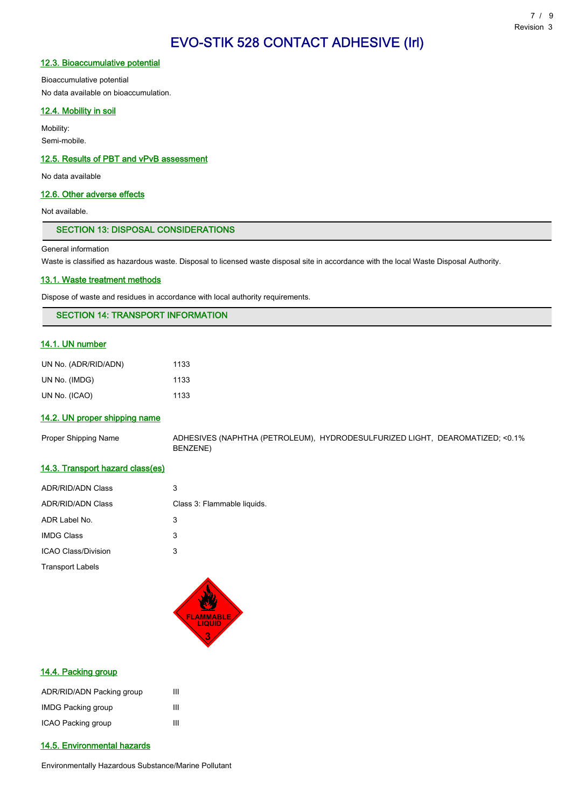#### 12.3. Bioaccumulative potential

Bioaccumulative potential No data available on bioaccumulation.

## 12.4. Mobility in soil

Mobility: Semi-mobile.

#### 12.5. Results of PBT and vPvB assessment

No data available

## 12.6. Other adverse effects

Not available.

#### SECTION 13: DISPOSAL CONSIDERATIONS

General information

Waste is classified as hazardous waste. Disposal to licensed waste disposal site in accordance with the local Waste Disposal Authority.

#### 13.1. Waste treatment methods

Dispose of waste and residues in accordance with local authority requirements.

## SECTION 14: TRANSPORT INFORMATION

## 14.1. UN number

| UN No. (ADR/RID/ADN) | 1133 |
|----------------------|------|
| UN No. (IMDG)        | 1133 |
| UN No. (ICAO)        | 1133 |

#### 14.2. UN proper shipping name

Proper Shipping Name ADHESIVES (NAPHTHA (PETROLEUM), HYDRODESULFURIZED LIGHT, DEAROMATIZED; <0.1% BENZENE)

#### 14.3. Transport hazard class(es)

| <b>ADR/RID/ADN Class</b>   | 3                           |
|----------------------------|-----------------------------|
| <b>ADR/RID/ADN Class</b>   | Class 3: Flammable liquids. |
| ADR Label No.              | 3                           |
| <b>IMDG Class</b>          | 3                           |
| <b>ICAO Class/Division</b> | 3                           |
| <b>Transport Labels</b>    |                             |



## 14.4. Packing group

| ADR/RID/ADN Packing group | ш |
|---------------------------|---|
| <b>IMDG Packing group</b> | ш |
| ICAO Packing group        | Ш |

## 14.5. Environmental hazards

Environmentally Hazardous Substance/Marine Pollutant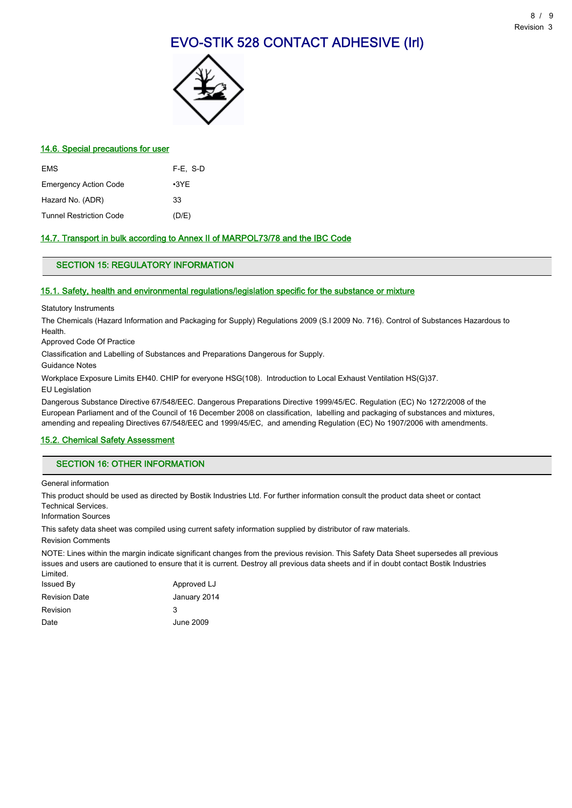

### 14.6. Special precautions for user

| <b>EMS</b>                     | F-E. S-D    |
|--------------------------------|-------------|
| <b>Emergency Action Code</b>   | $\cdot$ 3YE |
| Hazard No. (ADR)               | 33          |
| <b>Tunnel Restriction Code</b> | (D/E)       |

## 14.7. Transport in bulk according to Annex II of MARPOL73/78 and the IBC Code

## SECTION 15: REGULATORY INFORMATION

#### 15.1. Safety, health and environmental regulations/legislation specific for the substance or mixture

Statutory Instruments

The Chemicals (Hazard Information and Packaging for Supply) Regulations 2009 (S.I 2009 No. 716). Control of Substances Hazardous to **Health** 

Approved Code Of Practice

Classification and Labelling of Substances and Preparations Dangerous for Supply.

Guidance Notes

Workplace Exposure Limits EH40. CHIP for everyone HSG(108). Introduction to Local Exhaust Ventilation HS(G)37.

EU Legislation

Dangerous Substance Directive 67/548/EEC. Dangerous Preparations Directive 1999/45/EC. Regulation (EC) No 1272/2008 of the European Parliament and of the Council of 16 December 2008 on classification, labelling and packaging of substances and mixtures, amending and repealing Directives 67/548/EEC and 1999/45/EC, and amending Regulation (EC) No 1907/2006 with amendments.

## 15.2. Chemical Safety Assessment

## SECTION 16: OTHER INFORMATION

General information

This product should be used as directed by Bostik Industries Ltd. For further information consult the product data sheet or contact Technical Services.

Information Sources

This safety data sheet was compiled using current safety information supplied by distributor of raw materials.

Revision Comments

NOTE: Lines within the margin indicate significant changes from the previous revision. This Safety Data Sheet supersedes all previous issues and users are cautioned to ensure that it is current. Destroy all previous data sheets and if in doubt contact Bostik Industries Limited.

| Issued By     | Approved LJ  |
|---------------|--------------|
| Revision Date | January 2014 |
| Revision      | 3            |
| Date          | June 2009    |